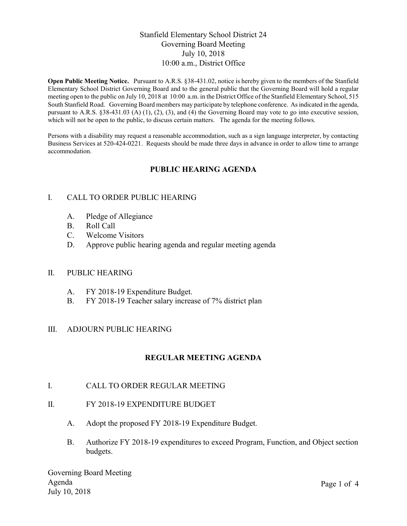## Stanfield Elementary School District 24 Governing Board Meeting July 10, 2018 10:00 a.m., District Office

Open Public Meeting Notice. Pursuant to A.R.S. §38-431.02, notice is hereby given to the members of the Stanfield Elementary School District Governing Board and to the general public that the Governing Board will hold a regular meeting open to the public on July 10, 2018 at 10:00 a.m. in the District Office of the Stanfield Elementary School, 515 South Stanfield Road. Governing Board members may participate by telephone conference. As indicated in the agenda, pursuant to A.R.S. §38-431.03 (A) (1), (2), (3), and (4) the Governing Board may vote to go into executive session, which will not be open to the public, to discuss certain matters. The agenda for the meeting follows.

Persons with a disability may request a reasonable accommodation, such as a sign language interpreter, by contacting Business Services at 520-424-0221. Requests should be made three days in advance in order to allow time to arrange accommodation.

# PUBLIC HEARING AGENDA

### I. CALL TO ORDER PUBLIC HEARING

- A. Pledge of Allegiance
- B. Roll Call
- C. Welcome Visitors
- D. Approve public hearing agenda and regular meeting agenda

#### II. PUBLIC HEARING

- A. FY 2018-19 Expenditure Budget.
- B. FY 2018-19 Teacher salary increase of 7% district plan

### III. ADJOURN PUBLIC HEARING

### REGULAR MEETING AGENDA

### I. CALL TO ORDER REGULAR MEETING

### II. FY 2018-19 EXPENDITURE BUDGET

- A. Adopt the proposed FY 2018-19 Expenditure Budget.
- B. Authorize FY 2018-19 expenditures to exceed Program, Function, and Object section budgets.

Governing Board Meeting Agenda July 10, 2018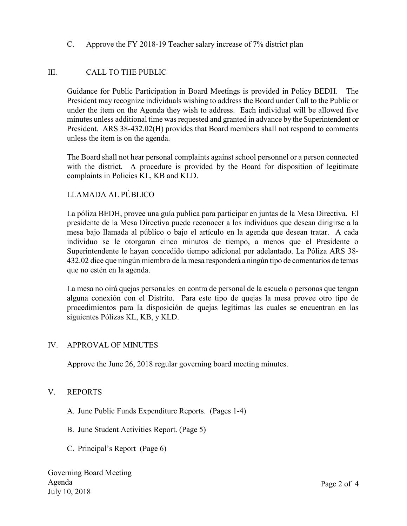C. Approve the FY 2018-19 Teacher salary increase of 7% district plan

### III. CALL TO THE PUBLIC

Guidance for Public Participation in Board Meetings is provided in Policy BEDH. The President may recognize individuals wishing to address the Board under Call to the Public or under the item on the Agenda they wish to address. Each individual will be allowed five minutes unless additional time was requested and granted in advance by the Superintendent or President. ARS 38-432.02(H) provides that Board members shall not respond to comments unless the item is on the agenda.

The Board shall not hear personal complaints against school personnel or a person connected with the district. A procedure is provided by the Board for disposition of legitimate complaints in Policies KL, KB and KLD.

## LLAMADA AL PÚBLICO

La póliza BEDH, provee una guía publica para participar en juntas de la Mesa Directiva. El presidente de la Mesa Directiva puede reconocer a los individuos que desean dirigirse a la mesa bajo llamada al público o bajo el artículo en la agenda que desean tratar. A cada individuo se le otorgaran cinco minutos de tiempo, a menos que el Presidente o Superintendente le hayan concedido tiempo adicional por adelantado. La Póliza ARS 38- 432.02 dice que ningún miembro de la mesa responderá a ningún tipo de comentarios de temas que no estén en la agenda.

La mesa no oirá quejas personales en contra de personal de la escuela o personas que tengan alguna conexión con el Distrito. Para este tipo de quejas la mesa provee otro tipo de procedimientos para la disposición de quejas legítimas las cuales se encuentran en las siguientes Pólizas KL, KB, y KLD.

### IV. APPROVAL OF MINUTES

Approve the June 26, 2018 regular governing board meeting minutes.

### V. REPORTS

- A. June Public Funds Expenditure Reports. (Pages 1-4)
- B. June Student Activities Report. (Page 5)
- C. Principal's Report (Page 6)

Governing Board Meeting Agenda July 10, 2018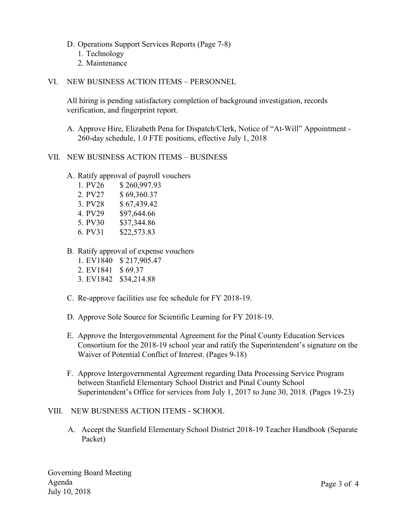- D. Operations Support Services Reports (Page 7-8)
	- 1. Technology
	- 2. Maintenance
- VI. NEW BUSINESS ACTION ITEMS PERSONNEL

All hiring is pending satisfactory completion of background investigation, records verification, and fingerprint report.

A. Approve Hire, Elizabeth Pena for Dispatch/Clerk, Notice of "At-Will" Appointment - 260-day schedule, 1.0 FTE positions, effective July 1, 2018

### VII. NEW BUSINESS ACTION ITEMS – BUSINESS

- A. Ratify approval of payroll vouchers
	- 1. PV26 \$ 260,997.93 2. PV27 \$ 69,360.37 3. PV28 \$ 67,439.42 4. PV29 \$97,644.66
	- 5. PV30 \$37,344.86
	- 6. PV31 \$22,573.83
- B. Ratify approval of expense vouchers
	- 1. EV1840 \$ 217,905.47
	- 2. EV1841 \$ 69.37
	- 3. EV1842 \$34,214.88
- C. Re-approve facilities use fee schedule for FY 2018-19.
- D. Approve Sole Source for Scientific Learning for FY 2018-19.
- E. Approve the Intergovernmental Agreement for the Pinal County Education Services Consortium for the 2018-19 school year and ratify the Superintendent's signature on the Waiver of Potential Conflict of Interest. (Pages 9-18)
- F. Approve Intergovernmental Agreement regarding Data Processing Service Program between Stanfield Elementary School District and Pinal County School Superintendent's Office for services from July 1, 2017 to June 30, 2018. (Pages 19-23)

### VIII. NEW BUSINESS ACTION ITEMS - SCHOOL

 A. Accept the Stanfield Elementary School District 2018-19 Teacher Handbook (Separate Packet)